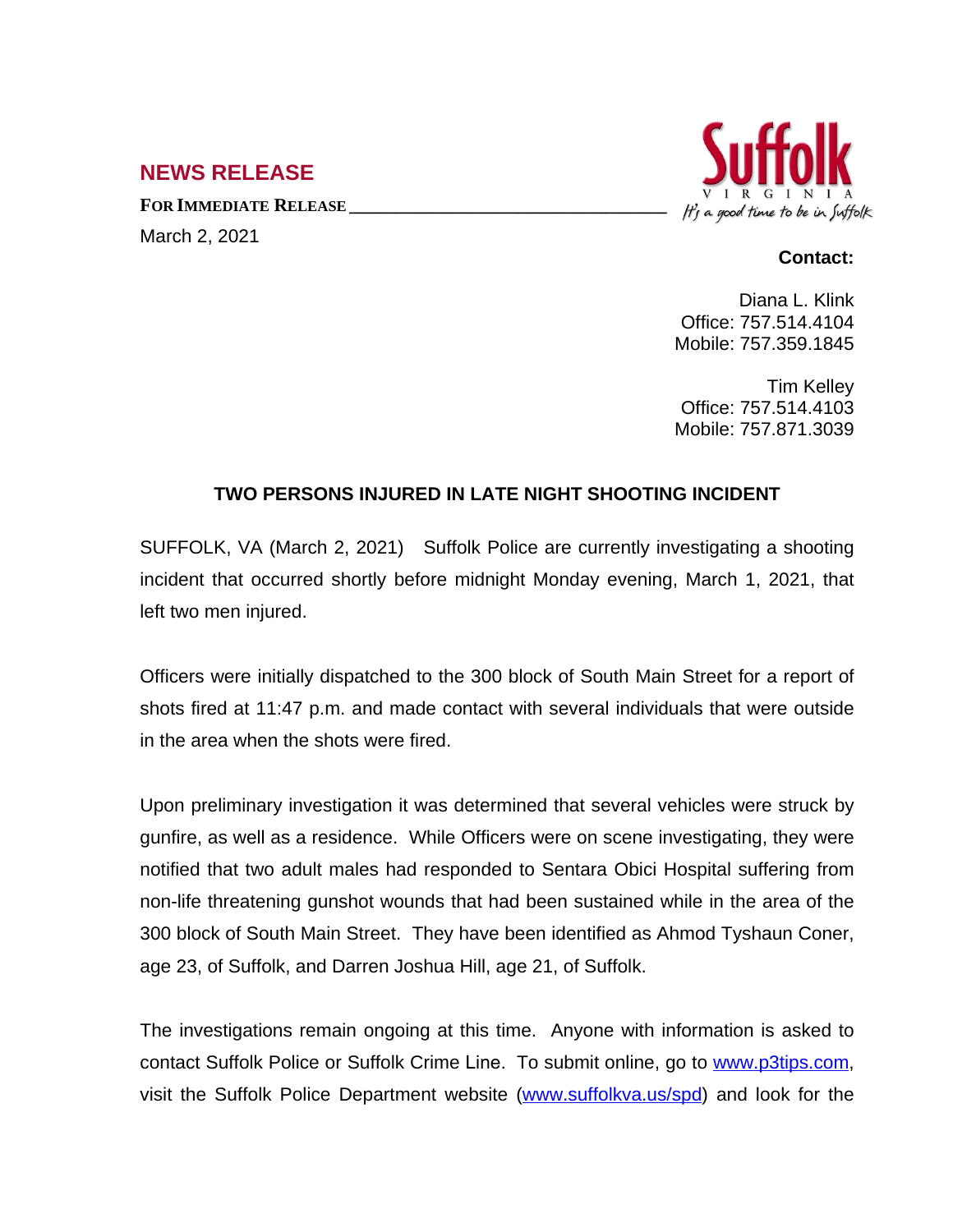## **NEWS RELEASE**

**FOR IMMEDIATE RELEASE \_\_\_\_\_\_\_\_\_\_\_\_\_\_\_\_\_\_\_\_\_\_\_\_\_\_\_\_\_\_\_\_\_\_** March 2, 2021



## **Contact:**

Diana L. Klink Office: 757.514.4104 Mobile: 757.359.1845

Tim Kelley Office: 757.514.4103 Mobile: 757.871.3039

## **TWO PERSONS INJURED IN LATE NIGHT SHOOTING INCIDENT**

SUFFOLK, VA (March 2, 2021) Suffolk Police are currently investigating a shooting incident that occurred shortly before midnight Monday evening, March 1, 2021, that left two men injured.

Officers were initially dispatched to the 300 block of South Main Street for a report of shots fired at 11:47 p.m. and made contact with several individuals that were outside in the area when the shots were fired.

Upon preliminary investigation it was determined that several vehicles were struck by gunfire, as well as a residence. While Officers were on scene investigating, they were notified that two adult males had responded to Sentara Obici Hospital suffering from non-life threatening gunshot wounds that had been sustained while in the area of the 300 block of South Main Street. They have been identified as Ahmod Tyshaun Coner, age 23, of Suffolk, and Darren Joshua Hill, age 21, of Suffolk.

The investigations remain ongoing at this time. Anyone with information is asked to contact Suffolk Police or Suffolk Crime Line. To submit online, go to [www.p3tips.com,](http://www.p3tips.com) visit the Suffolk Police Department website ([www.suffolkva.us/spd](http://www.suffolkva.us/spd)) and look for the